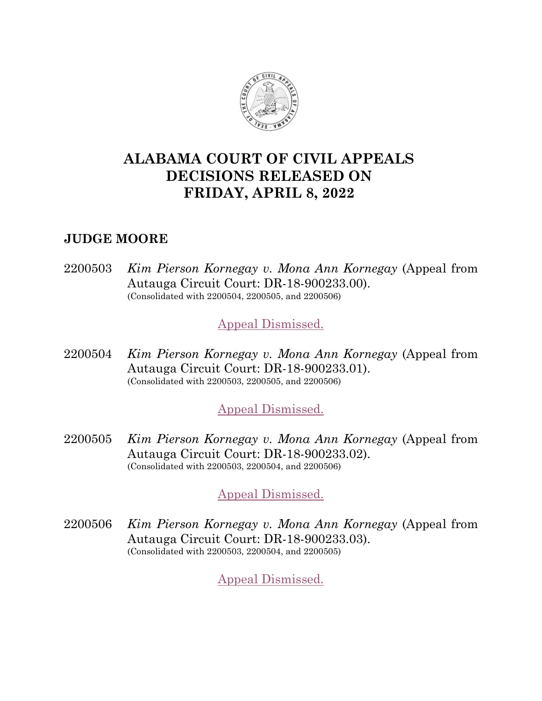

# **ALABAMA COURT OF CIVIL APPEALS DECISIONS RELEASED ON FRIDAY, APRIL 8, 2022**

# **JUDGE MOORE**

2200503 *Kim Pierson Kornegay v. Mona Ann Kornegay* (Appeal from Autauga Circuit Court: DR-18-900233.00). (Consolidated with 2200504, 2200505, and 2200506)

[Appeal Dismissed.](https://acis.alabama.gov/displaydocs.cfm?no=1126858&event=6B00US4PC)

2200504 *Kim Pierson Kornegay v. Mona Ann Kornegay* (Appeal from Autauga Circuit Court: DR-18-900233.01). (Consolidated with 2200503, 2200505, and 2200506)

# [Appeal Dismissed.](https://acis.alabama.gov/displaydocs.cfm?no=1126858&event=6B00US4PC)

2200505 *Kim Pierson Kornegay v. Mona Ann Kornegay* (Appeal from Autauga Circuit Court: DR-18-900233.02). (Consolidated with 2200503, 2200504, and 2200506)

# [Appeal Dismissed.](https://acis.alabama.gov/displaydocs.cfm?no=1126858&event=6B00US4PC)

2200506 *Kim Pierson Kornegay v. Mona Ann Kornegay* (Appeal from Autauga Circuit Court: DR-18-900233.03). (Consolidated with 2200503, 2200504, and 2200505)

[Appeal Dismissed.](https://acis.alabama.gov/displaydocs.cfm?no=1126858&event=6B00US4PC)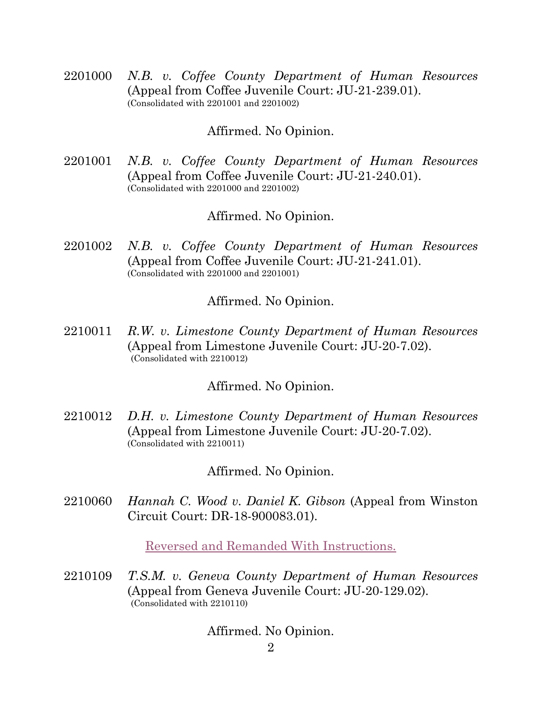2201000 *N.B. v. Coffee County Department of Human Resources* (Appeal from Coffee Juvenile Court: JU-21-239.01). (Consolidated with 2201001 and 2201002)

### Affirmed. No Opinion.

2201001 *N.B. v. Coffee County Department of Human Resources* (Appeal from Coffee Juvenile Court: JU-21-240.01). (Consolidated with 2201000 and 2201002)

## Affirmed. No Opinion.

2201002 *N.B. v. Coffee County Department of Human Resources* (Appeal from Coffee Juvenile Court: JU-21-241.01). (Consolidated with 2201000 and 2201001)

## Affirmed. No Opinion.

2210011 *R.W. v. Limestone County Department of Human Resources* (Appeal from Limestone Juvenile Court: JU-20-7.02). (Consolidated with 2210012)

## Affirmed. No Opinion.

2210012 *D.H. v. Limestone County Department of Human Resources* (Appeal from Limestone Juvenile Court: JU-20-7.02). (Consolidated with 2210011)

Affirmed. No Opinion.

2210060 *Hannah C. Wood v. Daniel K. Gibson* (Appeal from Winston Circuit Court: DR-18-900083.01).

[Reversed and Remanded With Instructions.](https://acis.alabama.gov/displaydocs.cfm?no=1126859&event=6B00VRP40)

2210109 *T.S.M. v. Geneva County Department of Human Resources* (Appeal from Geneva Juvenile Court: JU-20-129.02). (Consolidated with 2210110)

Affirmed. No Opinion.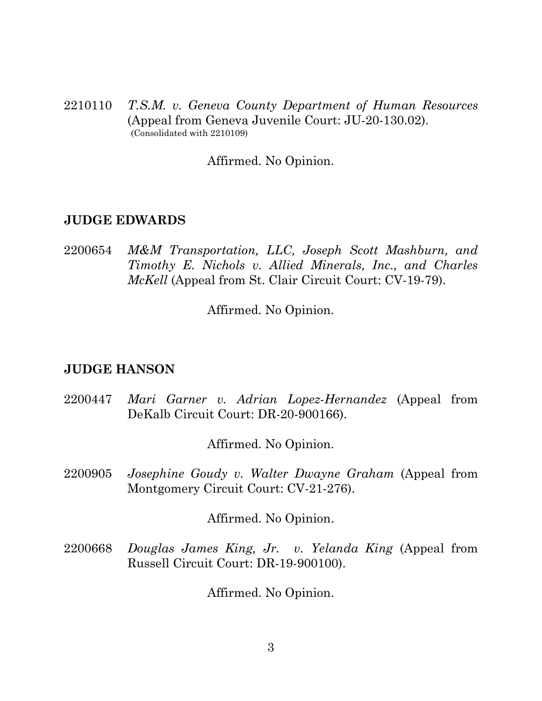2210110 *T.S.M. v. Geneva County Department of Human Resources* (Appeal from Geneva Juvenile Court: JU-20-130.02). (Consolidated with 2210109)

Affirmed. No Opinion.

#### **JUDGE EDWARDS**

2200654 *M&M Transportation, LLC, Joseph Scott Mashburn, and Timothy E. Nichols v. Allied Minerals, Inc., and Charles McKell* (Appeal from St. Clair Circuit Court: CV-19-79).

Affirmed. No Opinion.

#### **JUDGE HANSON**

2200447 *Mari Garner v. Adrian Lopez-Hernandez* (Appeal from DeKalb Circuit Court: DR-20-900166).

Affirmed. No Opinion.

2200905 *Josephine Goudy v. Walter Dwayne Graham* (Appeal from Montgomery Circuit Court: CV-21-276).

Affirmed. No Opinion.

2200668 *Douglas James King, Jr. v. Yelanda King* (Appeal from Russell Circuit Court: DR-19-900100).

Affirmed. No Opinion.